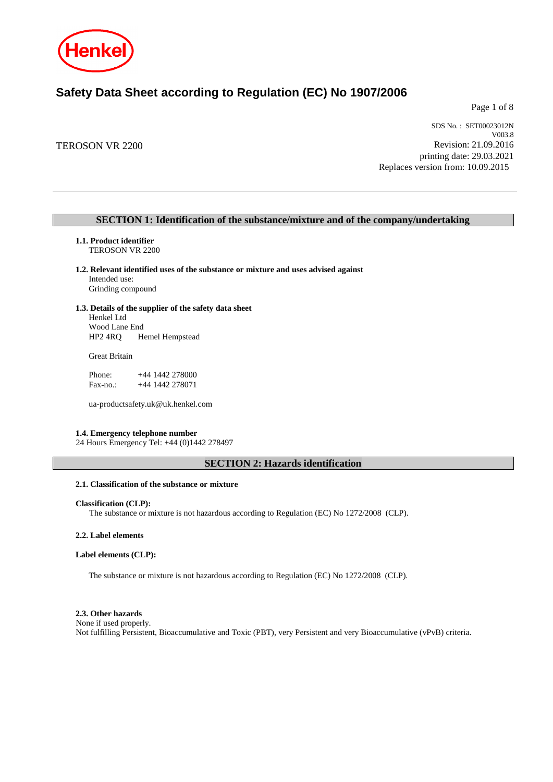

# **Safety Data Sheet according to Regulation (EC) No 1907/2006**

Page 1 of 8

TEROSON VR 2200

SDS No. : SET00023012N V003.8 Revision: 21.09.2016 printing date: 29.03.2021 Replaces version from: 10.09.2015

# **SECTION 1: Identification of the substance/mixture and of the company/undertaking**

- **1.1. Product identifier** TEROSON VR 2200
- **1.2. Relevant identified uses of the substance or mixture and uses advised against**

Intended use: Grinding compound

**1.3. Details of the supplier of the safety data sheet**

Henkel Ltd Wood Lane End HP2 4RQ Hemel Hempstead

Great Britain

Phone: +44 1442 278000 Fax-no.: +44 1442 278071

ua-productsafety.uk@uk.henkel.com

#### **1.4. Emergency telephone number**

24 Hours Emergency Tel: +44 (0)1442 278497

# **SECTION 2: Hazards identification**

## **2.1. Classification of the substance or mixture**

#### **Classification (CLP):**

The substance or mixture is not hazardous according to Regulation (EC) No 1272/2008 (CLP).

## **2.2. Label elements**

## **Label elements (CLP):**

The substance or mixture is not hazardous according to Regulation (EC) No 1272/2008 (CLP).

#### **2.3. Other hazards**

None if used properly. Not fulfilling Persistent, Bioaccumulative and Toxic (PBT), very Persistent and very Bioaccumulative (vPvB) criteria.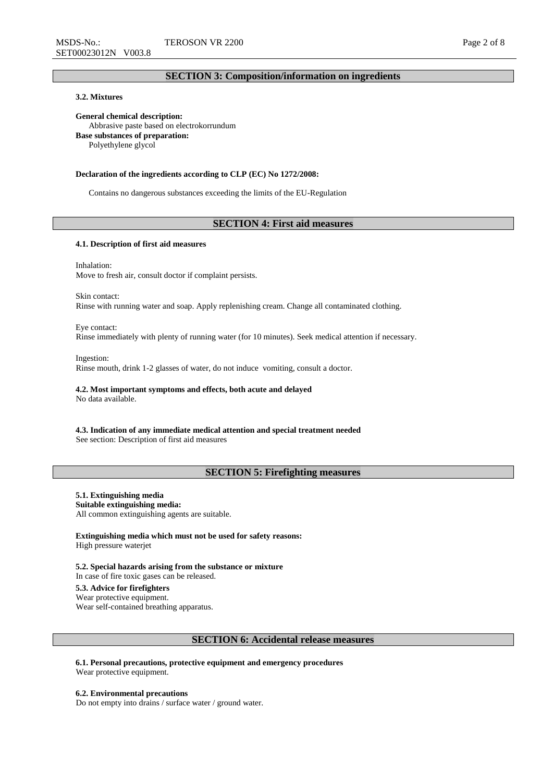# **SECTION 3: Composition/information on ingredients**

# **3.2. Mixtures**

**General chemical description:** Abbrasive paste based on electrokorrundum **Base substances of preparation:** Polyethylene glycol

#### **Declaration of the ingredients according to CLP (EC) No 1272/2008:**

Contains no dangerous substances exceeding the limits of the EU-Regulation

# **SECTION 4: First aid measures**

## **4.1. Description of first aid measures**

Inhalation: Move to fresh air, consult doctor if complaint persists.

Skin contact: Rinse with running water and soap. Apply replenishing cream. Change all contaminated clothing.

Eye contact: Rinse immediately with plenty of running water (for 10 minutes). Seek medical attention if necessary.

Ingestion: Rinse mouth, drink 1-2 glasses of water, do not induce vomiting, consult a doctor.

# **4.2. Most important symptoms and effects, both acute and delayed**

No data available.

**4.3. Indication of any immediate medical attention and special treatment needed** See section: Description of first aid measures

# **SECTION 5: Firefighting measures**

# **5.1. Extinguishing media**

**Suitable extinguishing media:** All common extinguishing agents are suitable.

**Extinguishing media which must not be used for safety reasons:** High pressure waterjet

**5.2. Special hazards arising from the substance or mixture** In case of fire toxic gases can be released.

# **5.3. Advice for firefighters**

Wear protective equipment. Wear self-contained breathing apparatus.

## **SECTION 6: Accidental release measures**

**6.1. Personal precautions, protective equipment and emergency procedures** Wear protective equipment.

#### **6.2. Environmental precautions**

Do not empty into drains / surface water / ground water.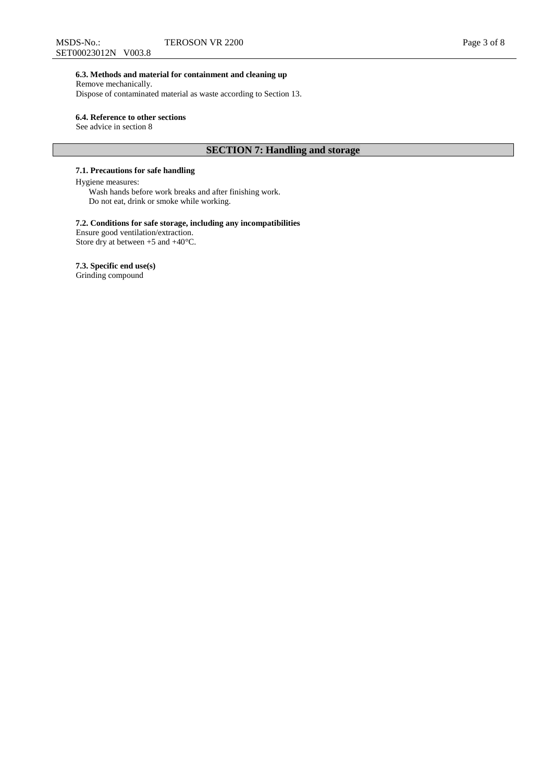## **6.3. Methods and material for containment and cleaning up**

Remove mechanically. Dispose of contaminated material as waste according to Section 13.

## **6.4. Reference to other sections**

See advice in section 8

# **SECTION 7: Handling and storage**

# **7.1. Precautions for safe handling**

## Hygiene measures:

Wash hands before work breaks and after finishing work. Do not eat, drink or smoke while working.

# **7.2. Conditions for safe storage, including any incompatibilities**

Ensure good ventilation/extraction. Store dry at between +5 and +40°C.

## **7.3. Specific end use(s)**

Grinding compound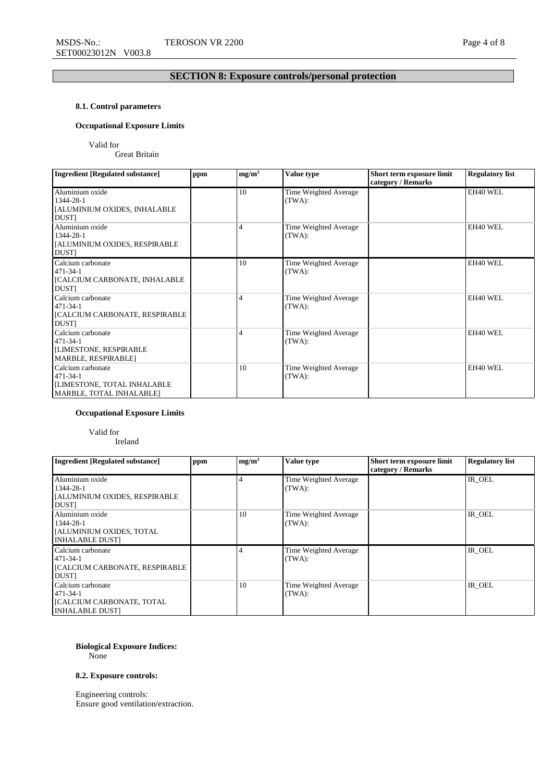# **SECTION 8: Exposure controls/personal protection**

# **8.1. Control parameters**

# **Occupational Exposure Limits**

Valid for

Great Britain

| <b>Ingredient [Regulated substance]</b>                                                        | ppm | mg/m <sup>3</sup> | Value type                      | Short term exposure limit<br>category / Remarks | <b>Regulatory list</b> |
|------------------------------------------------------------------------------------------------|-----|-------------------|---------------------------------|-------------------------------------------------|------------------------|
| Aluminium oxide<br>1344-28-1<br>[ALUMINIUM OXIDES, INHALABLE<br><b>DUST</b>                    |     | 10                | Time Weighted Average<br>(TWA): |                                                 | EH40 WEL               |
| Aluminium oxide<br>1344-28-1<br>[ALUMINIUM OXIDES, RESPIRABLE<br>DUST]                         |     | 4                 | Time Weighted Average<br>(TWA): |                                                 | EH40 WEL               |
| Calcium carbonate<br>$471 - 34 - 1$<br><b>[CALCIUM CARBONATE, INHALABLE</b><br><b>DUST</b>     |     | 10                | Time Weighted Average<br>(TWA): |                                                 | EH40 WEL               |
| Calcium carbonate<br>$471 - 34 - 1$<br><b>[CALCIUM CARBONATE, RESPIRABLE</b><br><b>DUST1</b>   |     | 4                 | Time Weighted Average<br>(TWA): |                                                 | EH40 WEL               |
| Calcium carbonate<br>$471 - 34 - 1$<br><b>[LIMESTONE, RESPIRABLE</b><br>MARBLE, RESPIRABLE]    |     | $\overline{4}$    | Time Weighted Average<br>(TWA): |                                                 | EH40 WEL               |
| Calcium carbonate<br>$471 - 34 - 1$<br>[LIMESTONE, TOTAL INHALABLE<br>MARBLE, TOTAL INHALABLE] |     | 10                | Time Weighted Average<br>(TWA): |                                                 | EH40 WEL               |

# **Occupational Exposure Limits**

# Valid for

Ireland

| Ingredient [Regulated substance]                                                                  | ppm | mg/m <sup>3</sup> | Value type                      | Short term exposure limit<br>category / Remarks | <b>Regulatory list</b> |
|---------------------------------------------------------------------------------------------------|-----|-------------------|---------------------------------|-------------------------------------------------|------------------------|
| Aluminium oxide<br>$1344 - 28 - 1$<br><b>JALUMINIUM OXIDES, RESPIRABLE</b><br><b>DUST</b>         |     |                   | Time Weighted Average<br>(TWA): |                                                 | IR OEL                 |
| Aluminium oxide<br>$1344 - 28 - 1$<br>[[ALUMINIUM OXIDES, TOTAL]<br><b>INHALABLE DUSTI</b>        |     | 10                | Time Weighted Average<br>(TWA): |                                                 | IR OEL                 |
| Calcium carbonate<br>$471 - 34 - 1$<br><b>[CALCIUM CARBONATE, RESPIRABLE</b><br><b>DUST</b>       |     |                   | Time Weighted Average<br>(TWA): |                                                 | IR OEL                 |
| Calcium carbonate<br>$471 - 34 - 1$<br><b>ICALCIUM CARBONATE, TOTAL</b><br><b>INHALABLE DUSTI</b> |     | 10                | Time Weighted Average<br>(TWA): |                                                 | IR OEL                 |

### **Biological Exposure Indices:** None

**8.2. Exposure controls:**

Engineering controls: Ensure good ventilation/extraction.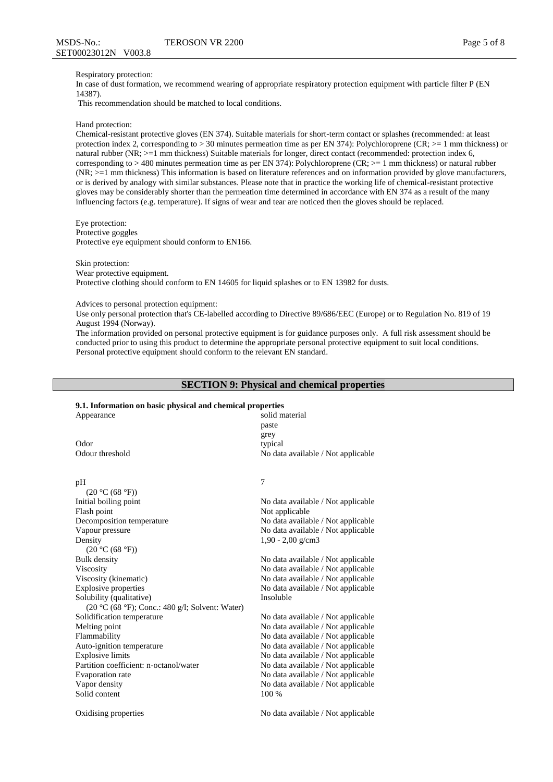#### Respiratory protection:

In case of dust formation, we recommend wearing of appropriate respiratory protection equipment with particle filter P (EN 14387).

This recommendation should be matched to local conditions.

#### Hand protection:

Chemical-resistant protective gloves (EN 374). Suitable materials for short-term contact or splashes (recommended: at least protection index 2, corresponding to > 30 minutes permeation time as per EN 374): Polychloroprene (CR; >= 1 mm thickness) or natural rubber (NR;  $>=1$  mm thickness) Suitable materials for longer, direct contact (recommended: protection index 6, corresponding to  $> 480$  minutes permeation time as per EN 374): Polychloroprene (CR;  $>= 1$  mm thickness) or natural rubber (NR; >=1 mm thickness) This information is based on literature references and on information provided by glove manufacturers, or is derived by analogy with similar substances. Please note that in practice the working life of chemical-resistant protective gloves may be considerably shorter than the permeation time determined in accordance with EN 374 as a result of the many influencing factors (e.g. temperature). If signs of wear and tear are noticed then the gloves should be replaced.

Eye protection: Protective goggles Protective eye equipment should conform to EN166.

Skin protection:

Wear protective equipment.

Protective clothing should conform to EN 14605 for liquid splashes or to EN 13982 for dusts.

Advices to personal protection equipment:

Use only personal protection that's CE-labelled according to Directive 89/686/EEC (Europe) or to Regulation No. 819 of 19 August 1994 (Norway).

The information provided on personal protective equipment is for guidance purposes only. A full risk assessment should be conducted prior to using this product to determine the appropriate personal protective equipment to suit local conditions. Personal protective equipment should conform to the relevant EN standard.

## **SECTION 9: Physical and chemical properties**

## **9.1. Information on basic physical and chemical properties**

| Appearance                                      | solid material<br>paste<br>grey    |
|-------------------------------------------------|------------------------------------|
| Odor                                            | typical                            |
| Odour threshold                                 | No data available / Not applicable |
| pH                                              | 7                                  |
| (20 °C (68 °F))                                 |                                    |
| Initial boiling point                           | No data available / Not applicable |
| Flash point                                     | Not applicable                     |
| Decomposition temperature                       | No data available / Not applicable |
| Vapour pressure                                 | No data available / Not applicable |
| Density                                         | $1,90 - 2,00$ g/cm3                |
| (20 °C (68 °F))                                 |                                    |
| Bulk density                                    | No data available / Not applicable |
| Viscosity                                       | No data available / Not applicable |
| Viscosity (kinematic)                           | No data available / Not applicable |
| <b>Explosive properties</b>                     | No data available / Not applicable |
| Solubility (qualitative)                        | Insoluble                          |
| (20 °C (68 °F); Conc.: 480 g/l; Solvent: Water) |                                    |
| Solidification temperature                      | No data available / Not applicable |
| Melting point                                   | No data available / Not applicable |
| Flammability                                    | No data available / Not applicable |
| Auto-ignition temperature                       | No data available / Not applicable |
| <b>Explosive limits</b>                         | No data available / Not applicable |
| Partition coefficient: n-octanol/water          | No data available / Not applicable |
| Evaporation rate                                | No data available / Not applicable |
| Vapor density                                   | No data available / Not applicable |

Solid content 100 %

Oxidising properties No data available / Not applicable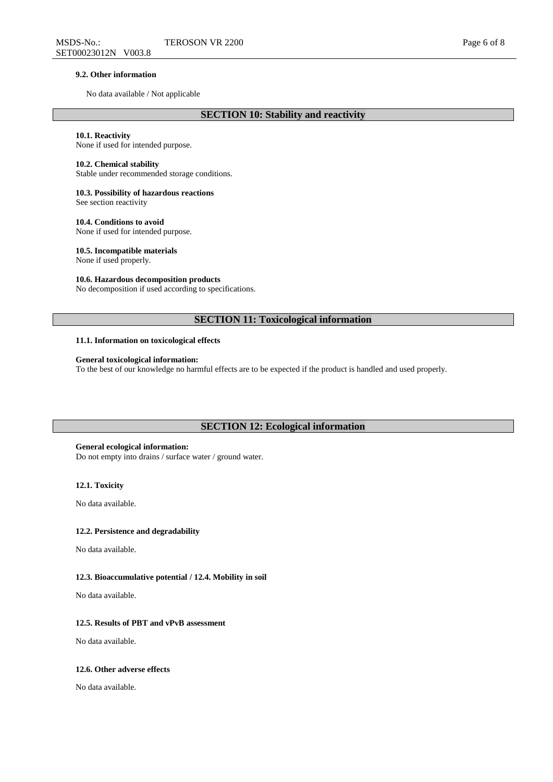#### **9.2. Other information**

No data available / Not applicable

# **10.1. Reactivity**

None if used for intended purpose.

## **10.2. Chemical stability**

Stable under recommended storage conditions.

# **10.3. Possibility of hazardous reactions**

See section reactivity

**10.4. Conditions to avoid** None if used for intended purpose.

# **10.5. Incompatible materials**

None if used properly.

## **10.6. Hazardous decomposition products**

No decomposition if used according to specifications.

# **SECTION 11: Toxicological information**

#### **11.1. Information on toxicological effects**

## **General toxicological information:**

To the best of our knowledge no harmful effects are to be expected if the product is handled and used properly.

## **SECTION 12: Ecological information**

#### **General ecological information:**

Do not empty into drains / surface water / ground water.

# **12.1. Toxicity**

No data available.

#### **12.2. Persistence and degradability**

No data available.

## **12.3. Bioaccumulative potential / 12.4. Mobility in soil**

No data available.

#### **12.5. Results of PBT and vPvB assessment**

No data available.

#### **12.6. Other adverse effects**

No data available.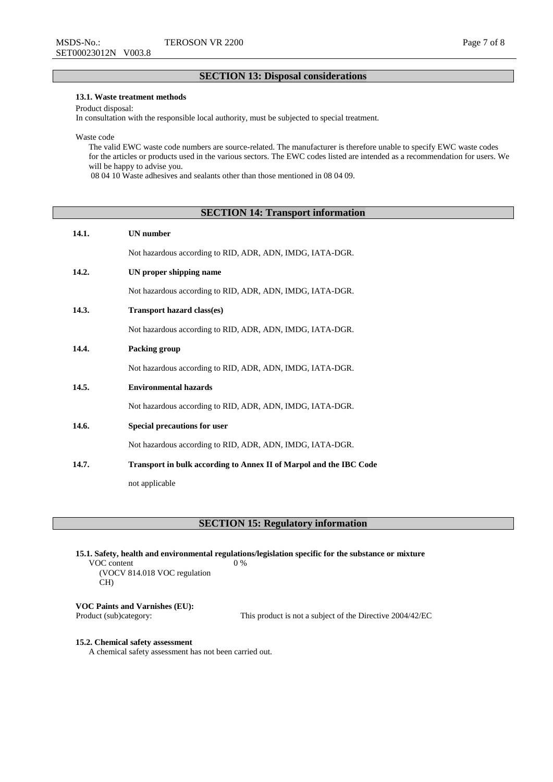# **SECTION 13: Disposal considerations**

# **13.1. Waste treatment methods**

Product disposal:

In consultation with the responsible local authority, must be subjected to special treatment.

Waste code

The valid EWC waste code numbers are source-related. The manufacturer is therefore unable to specify EWC waste codes for the articles or products used in the various sectors. The EWC codes listed are intended as a recommendation for users. We will be happy to advise you.

08 04 10 Waste adhesives and sealants other than those mentioned in 08 04 09.

# **SECTION 14: Transport information**

| 14.1. | <b>UN</b> number                                                   |
|-------|--------------------------------------------------------------------|
|       | Not hazardous according to RID, ADR, ADN, IMDG, IATA-DGR.          |
| 14.2. | UN proper shipping name                                            |
|       | Not hazardous according to RID, ADR, ADN, IMDG, IATA-DGR.          |
| 14.3. | <b>Transport hazard class(es)</b>                                  |
|       | Not hazardous according to RID, ADR, ADN, IMDG, IATA-DGR.          |
| 14.4. | Packing group                                                      |
|       | Not hazardous according to RID, ADR, ADN, IMDG, IATA-DGR.          |
| 14.5. | <b>Environmental hazards</b>                                       |
|       | Not hazardous according to RID, ADR, ADN, IMDG, IATA-DGR.          |
| 14.6. | Special precautions for user                                       |
|       | Not hazardous according to RID, ADR, ADN, IMDG, IATA-DGR.          |
| 14.7. | Transport in bulk according to Annex II of Marpol and the IBC Code |
|       | not applicable                                                     |

# **SECTION 15: Regulatory information**

**15.1. Safety, health and environmental regulations/legislation specific for the substance or mixture** VOC content (VOCV 814.018 VOC regulation CH) 0 %

**VOC Paints and Varnishes (EU):**

This product is not a subject of the Directive 2004/42/EC

#### **15.2. Chemical safety assessment**

A chemical safety assessment has not been carried out.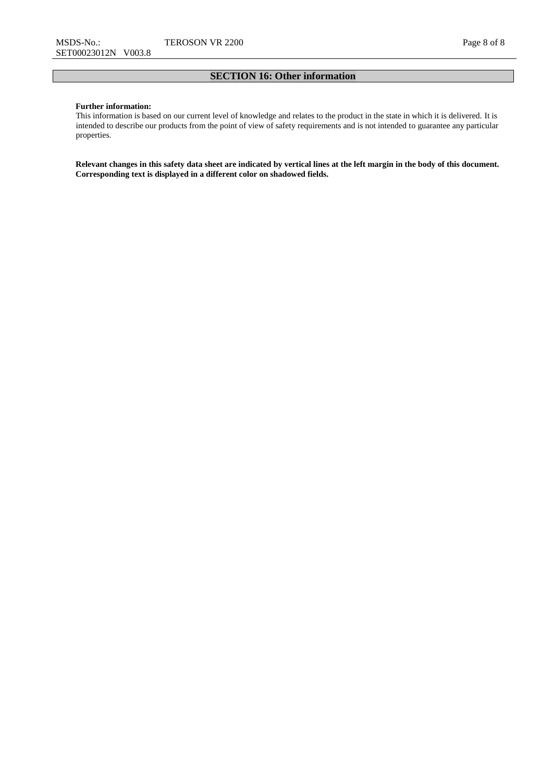# **SECTION 16: Other information**

## **Further information:**

This information is based on our current level of knowledge and relates to the product in the state in which it is delivered. It is intended to describe our products from the point of view of safety requirements and is not intended to guarantee any particular properties.

**Relevant changes in this safety data sheet are indicated by vertical lines at the left margin in the body of this document. Corresponding text is displayed in a different color on shadowed fields.**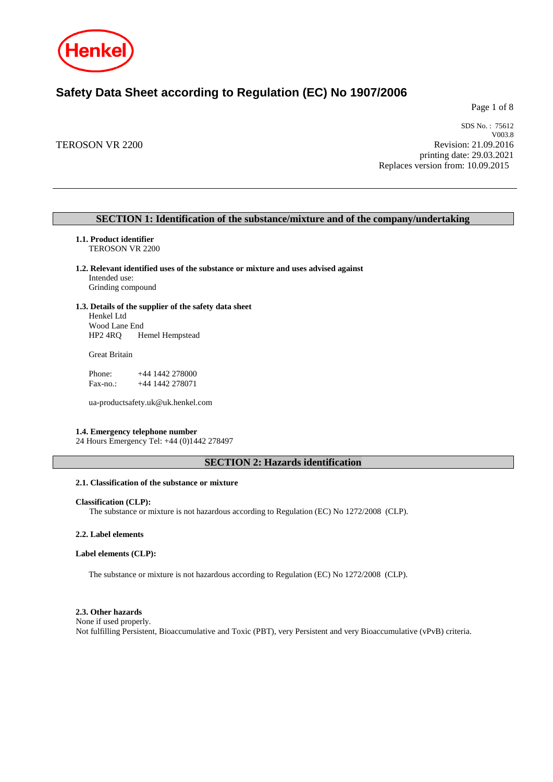

# **Safety Data Sheet according to Regulation (EC) No 1907/2006**

Page 1 of 8

TEROSON VR 2200

SDS No. : 75612 V003.8 Revision: 21.09.2016 printing date: 29.03.2021 Replaces version from: 10.09.2015

# **SECTION 1: Identification of the substance/mixture and of the company/undertaking**

**1.1. Product identifier** TEROSON VR 2200

# **1.2. Relevant identified uses of the substance or mixture and uses advised against**

Intended use: Grinding compound

## **1.3. Details of the supplier of the safety data sheet**

Henkel Ltd Wood Lane End HP2 4RQ Hemel Hempstead

Great Britain

Phone: +44 1442 278000<br>Fax-no.: +44 1442 278071 +44 1442 278071

ua-productsafety.uk@uk.henkel.com

## **1.4. Emergency telephone number**

24 Hours Emergency Tel: +44 (0)1442 278497

# **SECTION 2: Hazards identification**

# **2.1. Classification of the substance or mixture**

## **Classification (CLP):**

The substance or mixture is not hazardous according to Regulation (EC) No 1272/2008 (CLP).

## **2.2. Label elements**

# **Label elements (CLP):**

The substance or mixture is not hazardous according to Regulation (EC) No 1272/2008 (CLP).

#### **2.3. Other hazards**

None if used properly. Not fulfilling Persistent, Bioaccumulative and Toxic (PBT), very Persistent and very Bioaccumulative (vPvB) criteria.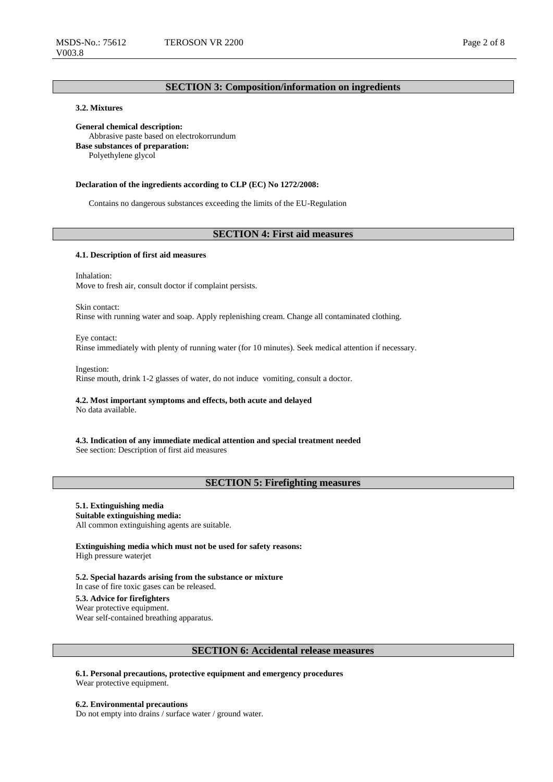# **SECTION 3: Composition/information on ingredients**

# **3.2. Mixtures**

**General chemical description:** Abbrasive paste based on electrokorrundum **Base substances of preparation:** Polyethylene glycol

#### **Declaration of the ingredients according to CLP (EC) No 1272/2008:**

Contains no dangerous substances exceeding the limits of the EU-Regulation

# **SECTION 4: First aid measures**

#### **4.1. Description of first aid measures**

Inhalation: Move to fresh air, consult doctor if complaint persists.

Skin contact: Rinse with running water and soap. Apply replenishing cream. Change all contaminated clothing.

Eye contact: Rinse immediately with plenty of running water (for 10 minutes). Seek medical attention if necessary.

Ingestion: Rinse mouth, drink 1-2 glasses of water, do not induce vomiting, consult a doctor.

#### **4.2. Most important symptoms and effects, both acute and delayed** No data available.

**4.3. Indication of any immediate medical attention and special treatment needed**

See section: Description of first aid measures

# **SECTION 5: Firefighting measures**

# **5.1. Extinguishing media**

**Suitable extinguishing media:**

All common extinguishing agents are suitable.

**Extinguishing media which must not be used for safety reasons:** High pressure waterjet

**5.2. Special hazards arising from the substance or mixture** In case of fire toxic gases can be released. **5.3. Advice for firefighters**

Wear protective equipment.

Wear self-contained breathing apparatus.

## **SECTION 6: Accidental release measures**

**6.1. Personal precautions, protective equipment and emergency procedures** Wear protective equipment.

**6.2. Environmental precautions** Do not empty into drains / surface water / ground water.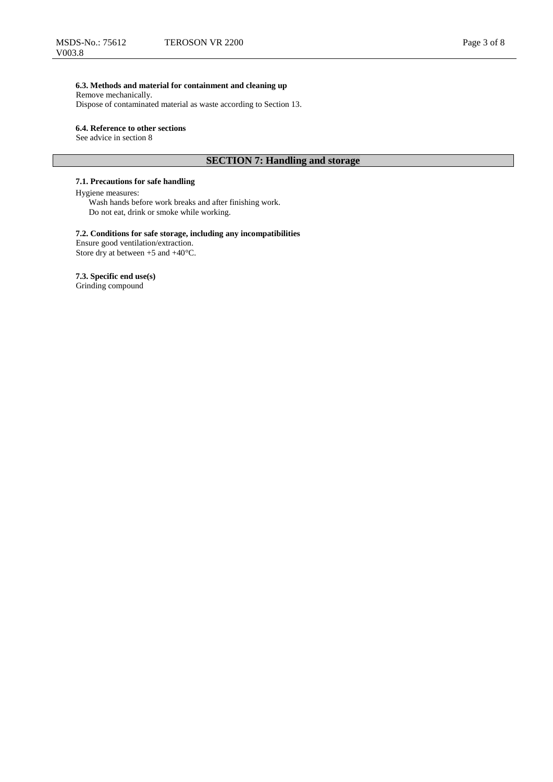# **6.3. Methods and material for containment and cleaning up**

Remove mechanically. Dispose of contaminated material as waste according to Section 13.

## **6.4. Reference to other sections**

See advice in section 8

# **SECTION 7: Handling and storage**

# **7.1. Precautions for safe handling**

## Hygiene measures:

Wash hands before work breaks and after finishing work. Do not eat, drink or smoke while working.

# **7.2. Conditions for safe storage, including any incompatibilities**

Ensure good ventilation/extraction. Store dry at between +5 and +40°C.

## **7.3. Specific end use(s)**

Grinding compound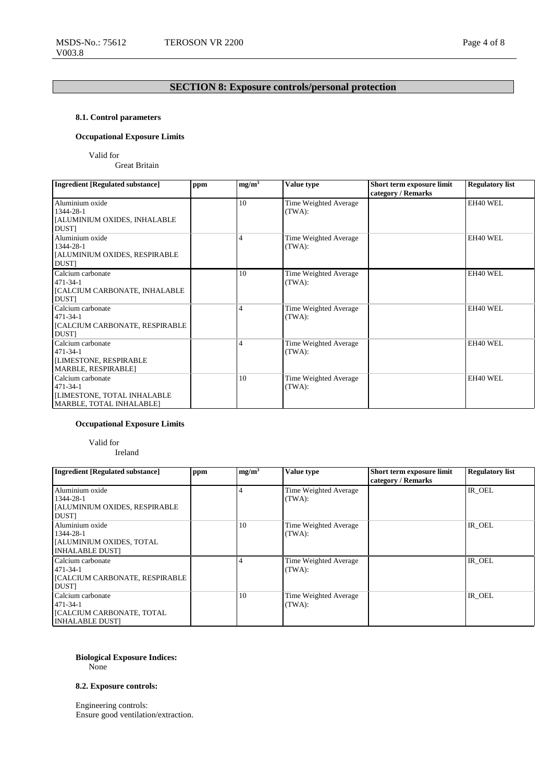# **SECTION 8: Exposure controls/personal protection**

# **8.1. Control parameters**

# **Occupational Exposure Limits**

Valid for

Great Britain

| <b>Ingredient [Regulated substance]</b>                                                               | ppm | $mg/m^3$       | Value type                      | Short term exposure limit<br>category / Remarks | <b>Regulatory list</b> |
|-------------------------------------------------------------------------------------------------------|-----|----------------|---------------------------------|-------------------------------------------------|------------------------|
| Aluminium oxide<br>1344-28-1<br>[ALUMINIUM OXIDES, INHALABLE<br><b>DUST</b>                           |     | 10             | Time Weighted Average<br>(TWA): |                                                 | EH40 WEL               |
| Aluminium oxide<br>1344-28-1<br>[ALUMINIUM OXIDES, RESPIRABLE<br><b>DUST</b>                          |     | $\overline{4}$ | Time Weighted Average<br>(TWA): |                                                 | EH40 WEL               |
| Calcium carbonate<br>$471 - 34 - 1$<br>[CALCIUM CARBONATE, INHALABLE<br><b>DUST</b>                   |     | 10             | Time Weighted Average<br>(TWA): |                                                 | EH40 WEL               |
| Calcium carbonate<br>$471 - 34 - 1$<br>[CALCIUM CARBONATE, RESPIRABLE<br>DUST]                        |     | $\overline{4}$ | Time Weighted Average<br>(TWA): |                                                 | EH40 WEL               |
| Calcium carbonate<br>$471 - 34 - 1$<br><b>[LIMESTONE, RESPIRABLE</b><br>MARBLE, RESPIRABLE]           |     | 4              | Time Weighted Average<br>(TWA): |                                                 | EH40 WEL               |
| Calcium carbonate<br>$471 - 34 - 1$<br><b>[LIMESTONE, TOTAL INHALABLE</b><br>MARBLE, TOTAL INHALABLE] |     | 10             | Time Weighted Average<br>(TWA): |                                                 | EH40 WEL               |

# **Occupational Exposure Limits**

Valid for Ireland

| <b>Ingredient [Regulated substance]</b>                                                           | ppm | mg/m <sup>3</sup> | Value type                      | Short term exposure limit<br>category / Remarks | <b>Regulatory list</b> |
|---------------------------------------------------------------------------------------------------|-----|-------------------|---------------------------------|-------------------------------------------------|------------------------|
| Aluminium oxide<br>1344-28-1<br>[ALUMINIUM OXIDES, RESPIRABLE<br><b>DUSTI</b>                     |     |                   | Time Weighted Average<br>(TWA): |                                                 | IR OEL                 |
| Aluminium oxide<br>1344-28-1<br>[ALUMINIUM OXIDES, TOTAL]<br><b>INHALABLE DUST]</b>               |     | 10                | Time Weighted Average<br>(TWA): |                                                 | IR OEL                 |
| Calcium carbonate<br>$471 - 34 - 1$<br><b>[CALCIUM CARBONATE, RESPIRABLE</b><br><b>DUST</b>       |     |                   | Time Weighted Average<br>(TWA): |                                                 | IR OEL                 |
| Calcium carbonate<br>$471 - 34 - 1$<br><b>[CALCIUM CARBONATE, TOTAL</b><br><b>INHALABLE DUSTI</b> |     | 10                | Time Weighted Average<br>(TWA): |                                                 | IR OEL                 |

# **Biological Exposure Indices:**

None

# **8.2. Exposure controls:**

Engineering controls: Ensure good ventilation/extraction.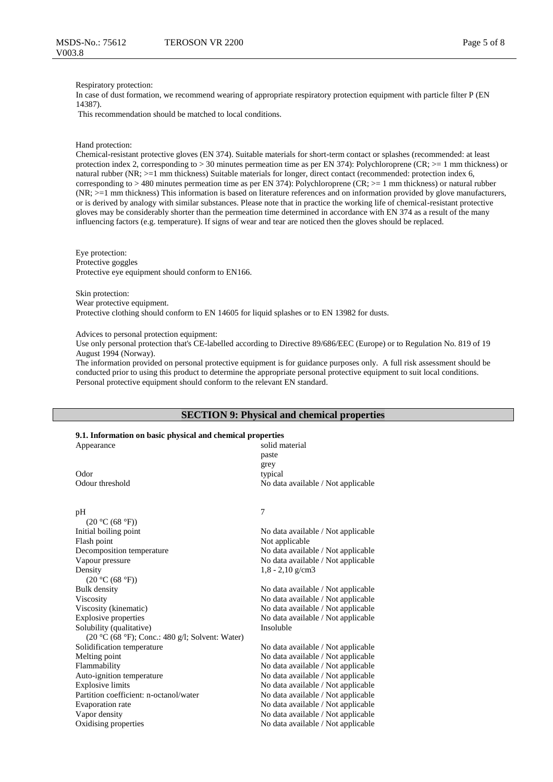#### Respiratory protection:

In case of dust formation, we recommend wearing of appropriate respiratory protection equipment with particle filter P (EN 14387).

This recommendation should be matched to local conditions.

#### Hand protection:

Chemical-resistant protective gloves (EN 374). Suitable materials for short-term contact or splashes (recommended: at least protection index 2, corresponding to  $> 30$  minutes permeation time as per EN 374): Polychloroprene (CR;  $>= 1$  mm thickness) or natural rubber (NR; >=1 mm thickness) Suitable materials for longer, direct contact (recommended: protection index 6, corresponding to  $> 480$  minutes permeation time as per EN 374): Polychloroprene (CR;  $>= 1$  mm thickness) or natural rubber (NR; >=1 mm thickness) This information is based on literature references and on information provided by glove manufacturers, or is derived by analogy with similar substances. Please note that in practice the working life of chemical-resistant protective gloves may be considerably shorter than the permeation time determined in accordance with EN 374 as a result of the many influencing factors (e.g. temperature). If signs of wear and tear are noticed then the gloves should be replaced.

Eye protection: Protective goggles Protective eye equipment should conform to EN166.

Skin protection: Wear protective equipment. Protective clothing should conform to EN 14605 for liquid splashes or to EN 13982 for dusts.

Advices to personal protection equipment:

Use only personal protection that's CE-labelled according to Directive 89/686/EEC (Europe) or to Regulation No. 819 of 19 August 1994 (Norway).

The information provided on personal protective equipment is for guidance purposes only. A full risk assessment should be conducted prior to using this product to determine the appropriate personal protective equipment to suit local conditions. Personal protective equipment should conform to the relevant EN standard.

## **SECTION 9: Physical and chemical properties**

# **9.1. Information on basic physical and chemical properties**

| 9.1. Throi mation on basic physical and chemical properties |                                    |
|-------------------------------------------------------------|------------------------------------|
| Appearance                                                  | solid material                     |
|                                                             | paste                              |
|                                                             | grey                               |
| Odor                                                        | typical                            |
| Odour threshold                                             | No data available / Not applicable |
|                                                             |                                    |
| pH                                                          | 7                                  |
| (20 °C (68 °F))                                             |                                    |
| Initial boiling point                                       | No data available / Not applicable |
| Flash point                                                 | Not applicable                     |
| Decomposition temperature                                   | No data available / Not applicable |
| Vapour pressure                                             | No data available / Not applicable |
| Density                                                     | $1,8 - 2,10$ g/cm3                 |
| (20 °C (68 °F))                                             |                                    |
| <b>Bulk</b> density                                         | No data available / Not applicable |
| Viscosity                                                   | No data available / Not applicable |
| Viscosity (kinematic)                                       | No data available / Not applicable |
| <b>Explosive properties</b>                                 | No data available / Not applicable |
| Solubility (qualitative)                                    | Insoluble                          |
| (20 °C (68 °F); Conc.: 480 g/l; Solvent: Water)             |                                    |
| Solidification temperature                                  | No data available / Not applicable |
| Melting point                                               | No data available / Not applicable |
| Flammability                                                | No data available / Not applicable |
| Auto-ignition temperature                                   | No data available / Not applicable |
| <b>Explosive limits</b>                                     | No data available / Not applicable |
| Partition coefficient: n-octanol/water                      | No data available / Not applicable |
| <b>Evaporation</b> rate                                     | No data available / Not applicable |
| Vapor density                                               | No data available / Not applicable |
| Oxidising properties                                        | No data available / Not applicable |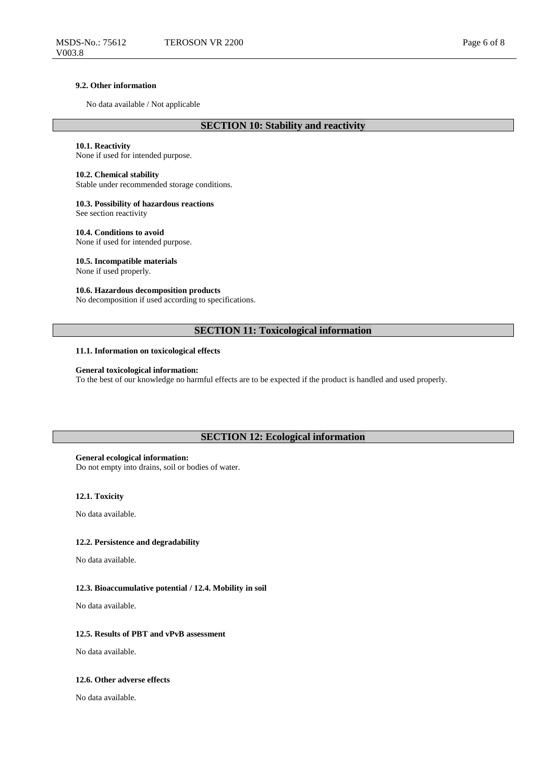## **9.2. Other information**

No data available / Not applicable

# **SECTION 10: Stability and reactivity**

## **10.1. Reactivity**

None if used for intended purpose.

## **10.2. Chemical stability**

Stable under recommended storage conditions.

## **10.3. Possibility of hazardous reactions**

See section reactivity

# **10.4. Conditions to avoid**

None if used for intended purpose.

## **10.5. Incompatible materials** None if used properly.

# **10.6. Hazardous decomposition products**

No decomposition if used according to specifications.

# **SECTION 11: Toxicological information**

### **11.1. Information on toxicological effects**

## **General toxicological information:**

To the best of our knowledge no harmful effects are to be expected if the product is handled and used properly.

# **SECTION 12: Ecological information**

## **General ecological information:**

Do not empty into drains, soil or bodies of water.

#### **12.1. Toxicity**

No data available.

# **12.2. Persistence and degradability**

No data available.

#### **12.3. Bioaccumulative potential / 12.4. Mobility in soil**

No data available.

#### **12.5. Results of PBT and vPvB assessment**

No data available.

## **12.6. Other adverse effects**

No data available.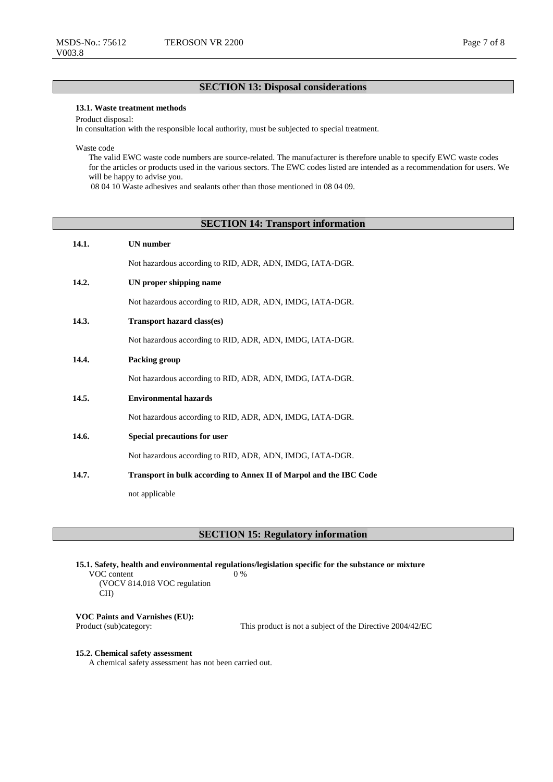# **SECTION 13: Disposal considerations**

# **13.1. Waste treatment methods**

Product disposal:

In consultation with the responsible local authority, must be subjected to special treatment.

Waste code

The valid EWC waste code numbers are source-related. The manufacturer is therefore unable to specify EWC waste codes for the articles or products used in the various sectors. The EWC codes listed are intended as a recommendation for users. We will be happy to advise you.

08 04 10 Waste adhesives and sealants other than those mentioned in 08 04 09.

# **SECTION 14: Transport information**

| 14.1. | <b>UN</b> number                                                   |
|-------|--------------------------------------------------------------------|
|       | Not hazardous according to RID, ADR, ADN, IMDG, IATA-DGR.          |
| 14.2. | UN proper shipping name                                            |
|       | Not hazardous according to RID, ADR, ADN, IMDG, IATA-DGR.          |
| 14.3. | <b>Transport hazard class(es)</b>                                  |
|       | Not hazardous according to RID, ADR, ADN, IMDG, IATA-DGR.          |
| 14.4. | Packing group                                                      |
|       | Not hazardous according to RID, ADR, ADN, IMDG, IATA-DGR.          |
| 14.5. | <b>Environmental hazards</b>                                       |
|       | Not hazardous according to RID, ADR, ADN, IMDG, IATA-DGR.          |
| 14.6. | <b>Special precautions for user</b>                                |
|       | Not hazardous according to RID, ADR, ADN, IMDG, IATA-DGR.          |
| 14.7. | Transport in bulk according to Annex II of Marpol and the IBC Code |
|       | not applicable                                                     |

**SECTION 15: Regulatory information**

**15.1. Safety, health and environmental regulations/legislation specific for the substance or mixture** 0 %

VOC content (VOCV 814.018 VOC regulation CH)

**VOC Paints and Varnishes (EU):**

This product is not a subject of the Directive  $2004/42/EC$ 

#### **15.2. Chemical safety assessment**

A chemical safety assessment has not been carried out.